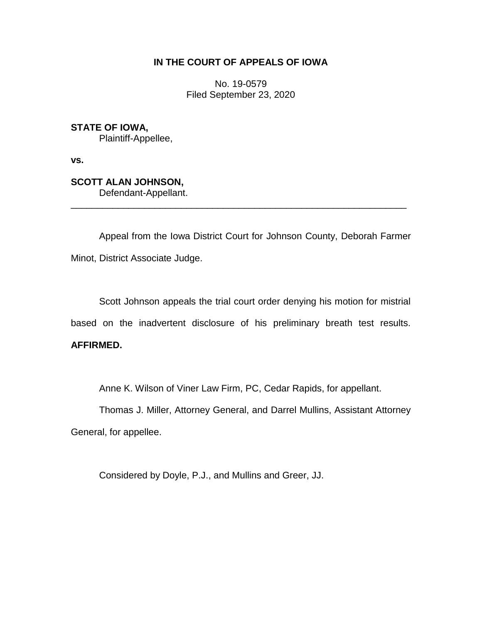# **IN THE COURT OF APPEALS OF IOWA**

No. 19-0579 Filed September 23, 2020

**STATE OF IOWA,** Plaintiff-Appellee,

**vs.**

**SCOTT ALAN JOHNSON,** Defendant-Appellant.

Appeal from the Iowa District Court for Johnson County, Deborah Farmer Minot, District Associate Judge.

\_\_\_\_\_\_\_\_\_\_\_\_\_\_\_\_\_\_\_\_\_\_\_\_\_\_\_\_\_\_\_\_\_\_\_\_\_\_\_\_\_\_\_\_\_\_\_\_\_\_\_\_\_\_\_\_\_\_\_\_\_\_\_\_

Scott Johnson appeals the trial court order denying his motion for mistrial based on the inadvertent disclosure of his preliminary breath test results. **AFFIRMED.**

Anne K. Wilson of Viner Law Firm, PC, Cedar Rapids, for appellant.

Thomas J. Miller, Attorney General, and Darrel Mullins, Assistant Attorney General, for appellee.

Considered by Doyle, P.J., and Mullins and Greer, JJ.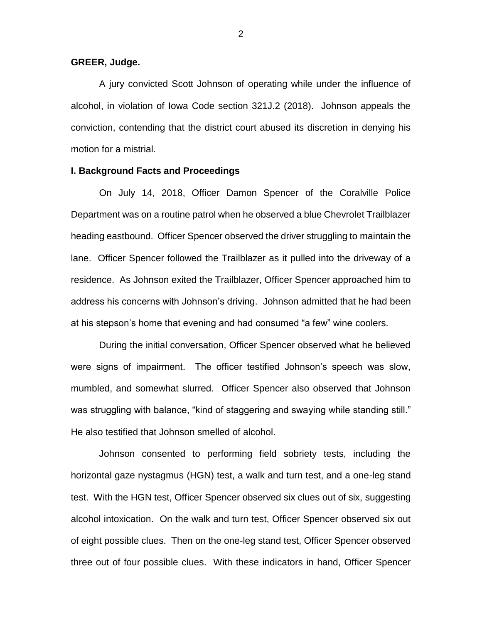### **GREER, Judge.**

A jury convicted Scott Johnson of operating while under the influence of alcohol, in violation of Iowa Code section 321J.2 (2018). Johnson appeals the conviction, contending that the district court abused its discretion in denying his motion for a mistrial.

### **I. Background Facts and Proceedings**

On July 14, 2018, Officer Damon Spencer of the Coralville Police Department was on a routine patrol when he observed a blue Chevrolet Trailblazer heading eastbound. Officer Spencer observed the driver struggling to maintain the lane. Officer Spencer followed the Trailblazer as it pulled into the driveway of a residence. As Johnson exited the Trailblazer, Officer Spencer approached him to address his concerns with Johnson's driving. Johnson admitted that he had been at his stepson's home that evening and had consumed "a few" wine coolers.

During the initial conversation, Officer Spencer observed what he believed were signs of impairment. The officer testified Johnson's speech was slow, mumbled, and somewhat slurred. Officer Spencer also observed that Johnson was struggling with balance, "kind of staggering and swaying while standing still." He also testified that Johnson smelled of alcohol.

Johnson consented to performing field sobriety tests, including the horizontal gaze nystagmus (HGN) test, a walk and turn test, and a one-leg stand test. With the HGN test, Officer Spencer observed six clues out of six, suggesting alcohol intoxication. On the walk and turn test, Officer Spencer observed six out of eight possible clues. Then on the one-leg stand test, Officer Spencer observed three out of four possible clues. With these indicators in hand, Officer Spencer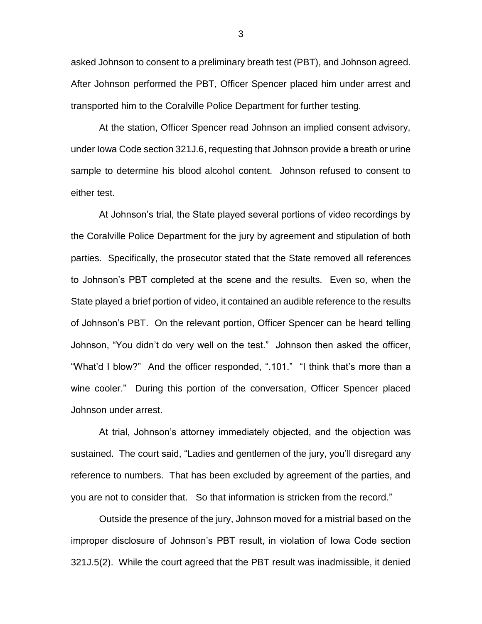asked Johnson to consent to a preliminary breath test (PBT), and Johnson agreed. After Johnson performed the PBT, Officer Spencer placed him under arrest and transported him to the Coralville Police Department for further testing.

At the station, Officer Spencer read Johnson an implied consent advisory, under Iowa Code section 321J.6, requesting that Johnson provide a breath or urine sample to determine his blood alcohol content. Johnson refused to consent to either test.

At Johnson's trial, the State played several portions of video recordings by the Coralville Police Department for the jury by agreement and stipulation of both parties. Specifically, the prosecutor stated that the State removed all references to Johnson's PBT completed at the scene and the results. Even so, when the State played a brief portion of video, it contained an audible reference to the results of Johnson's PBT. On the relevant portion, Officer Spencer can be heard telling Johnson, "You didn't do very well on the test." Johnson then asked the officer, "What'd I blow?" And the officer responded, ".101." "I think that's more than a wine cooler." During this portion of the conversation, Officer Spencer placed Johnson under arrest.

At trial, Johnson's attorney immediately objected, and the objection was sustained. The court said, "Ladies and gentlemen of the jury, you'll disregard any reference to numbers. That has been excluded by agreement of the parties, and you are not to consider that. So that information is stricken from the record."

Outside the presence of the jury, Johnson moved for a mistrial based on the improper disclosure of Johnson's PBT result, in violation of Iowa Code section 321J.5(2). While the court agreed that the PBT result was inadmissible, it denied

3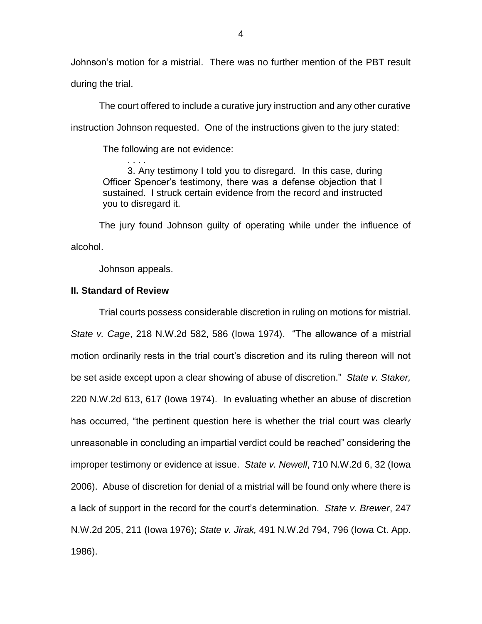Johnson's motion for a mistrial. There was no further mention of the PBT result during the trial.

The court offered to include a curative jury instruction and any other curative instruction Johnson requested. One of the instructions given to the jury stated:

The following are not evidence:

3. Any testimony I told you to disregard. In this case, during Officer Spencer's testimony, there was a defense objection that I sustained. I struck certain evidence from the record and instructed you to disregard it.

The jury found Johnson guilty of operating while under the influence of alcohol.

Johnson appeals.

. . . .

## **II. Standard of Review**

Trial courts possess considerable discretion in ruling on motions for mistrial. *State v. Cage*, 218 N.W.2d 582, 586 (Iowa 1974). "The allowance of a mistrial motion ordinarily rests in the trial court's discretion and its ruling thereon will not be set aside except upon a clear showing of abuse of discretion." *State v. Staker,*  220 N.W.2d 613, 617 (Iowa 1974). In evaluating whether an abuse of discretion has occurred, "the pertinent question here is whether the trial court was clearly unreasonable in concluding an impartial verdict could be reached" considering the improper testimony or evidence at issue. *State v. Newell*, 710 N.W.2d 6, 32 (Iowa 2006). Abuse of discretion for denial of a mistrial will be found only where there is a lack of support in the record for the court's determination. *State v. Brewer*, 247 N.W.2d 205, 211 (Iowa 1976); *State v. Jirak,* 491 N.W.2d 794, 796 (Iowa Ct. App. 1986).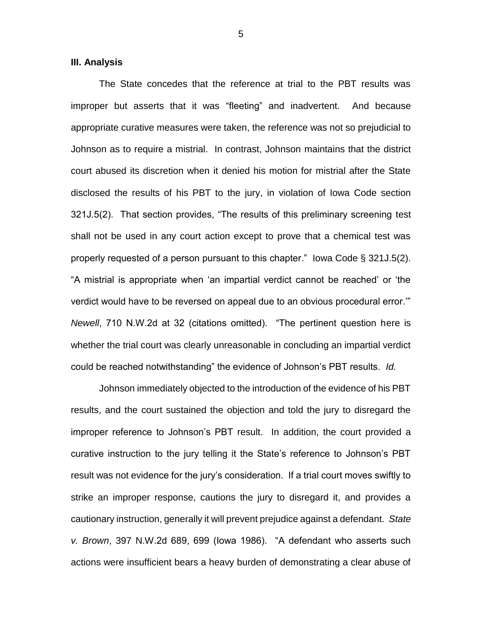#### **III. Analysis**

The State concedes that the reference at trial to the PBT results was improper but asserts that it was "fleeting" and inadvertent. And because appropriate curative measures were taken, the reference was not so prejudicial to Johnson as to require a mistrial. In contrast, Johnson maintains that the district court abused its discretion when it denied his motion for mistrial after the State disclosed the results of his PBT to the jury, in violation of Iowa Code section 321J.5(2). That section provides, "The results of this preliminary screening test shall not be used in any court action except to prove that a chemical test was properly requested of a person pursuant to this chapter." Iowa Code § 321J.5(2). "A mistrial is appropriate when 'an impartial verdict cannot be reached' or 'the verdict would have to be reversed on appeal due to an obvious procedural error.'" *Newell*, 710 N.W.2d at 32 (citations omitted). "The pertinent question here is whether the trial court was clearly unreasonable in concluding an impartial verdict could be reached notwithstanding" the evidence of Johnson's PBT results. *Id.* 

Johnson immediately objected to the introduction of the evidence of his PBT results, and the court sustained the objection and told the jury to disregard the improper reference to Johnson's PBT result. In addition, the court provided a curative instruction to the jury telling it the State's reference to Johnson's PBT result was not evidence for the jury's consideration. If a trial court moves swiftly to strike an improper response, cautions the jury to disregard it, and provides a cautionary instruction, generally it will prevent prejudice against a defendant. *State v. Brown*, 397 N.W.2d 689, 699 (Iowa 1986). "A defendant who asserts such actions were insufficient bears a heavy burden of demonstrating a clear abuse of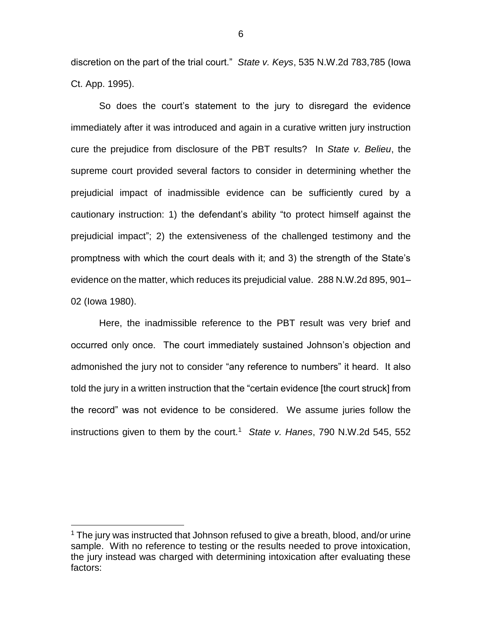discretion on the part of the trial court." *State v. Keys*, 535 N.W.2d 783,785 (Iowa Ct. App. 1995).

So does the court's statement to the jury to disregard the evidence immediately after it was introduced and again in a curative written jury instruction cure the prejudice from disclosure of the PBT results? In *State v. Belieu*, the supreme court provided several factors to consider in determining whether the prejudicial impact of inadmissible evidence can be sufficiently cured by a cautionary instruction: 1) the defendant's ability "to protect himself against the prejudicial impact"; 2) the extensiveness of the challenged testimony and the promptness with which the court deals with it; and 3) the strength of the State's evidence on the matter, which reduces its prejudicial value. 288 N.W.2d 895, 901– 02 (Iowa 1980).

Here, the inadmissible reference to the PBT result was very brief and occurred only once. The court immediately sustained Johnson's objection and admonished the jury not to consider "any reference to numbers" it heard. It also told the jury in a written instruction that the "certain evidence [the court struck] from the record" was not evidence to be considered. We assume juries follow the instructions given to them by the court.<sup>1</sup> State v. Hanes, 790 N.W.2d 545, 552

 $\overline{a}$ 

 $1$  The jury was instructed that Johnson refused to give a breath, blood, and/or urine sample. With no reference to testing or the results needed to prove intoxication, the jury instead was charged with determining intoxication after evaluating these factors: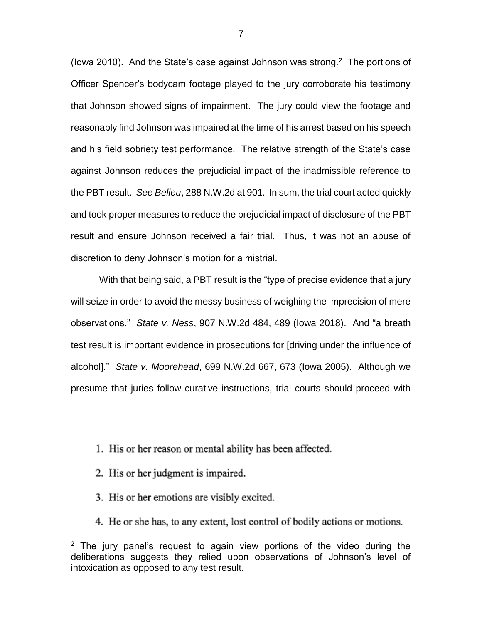(lowa 2010). And the State's case against Johnson was strong. $2$  The portions of Officer Spencer's bodycam footage played to the jury corroborate his testimony that Johnson showed signs of impairment. The jury could view the footage and reasonably find Johnson was impaired at the time of his arrest based on his speech and his field sobriety test performance. The relative strength of the State's case against Johnson reduces the prejudicial impact of the inadmissible reference to the PBT result. *See Belieu*, 288 N.W.2d at 901. In sum, the trial court acted quickly and took proper measures to reduce the prejudicial impact of disclosure of the PBT result and ensure Johnson received a fair trial. Thus, it was not an abuse of discretion to deny Johnson's motion for a mistrial.

With that being said, a PBT result is the "type of precise evidence that a jury will seize in order to avoid the messy business of weighing the imprecision of mere observations." *State v. Ness*, 907 N.W.2d 484, 489 (Iowa 2018). And "a breath test result is important evidence in prosecutions for [driving under the influence of alcohol]." *State v. Moorehead*, 699 N.W.2d 667, 673 (Iowa 2005). Although we presume that juries follow curative instructions, trial courts should proceed with

 $\overline{a}$ 

- 3. His or her emotions are visibly excited.
- 4. He or she has, to any extent, lost control of bodily actions or motions.

<sup>1.</sup> His or her reason or mental ability has been affected.

<sup>2.</sup> His or her judgment is impaired.

 $2$  The jury panel's request to again view portions of the video during the deliberations suggests they relied upon observations of Johnson's level of intoxication as opposed to any test result.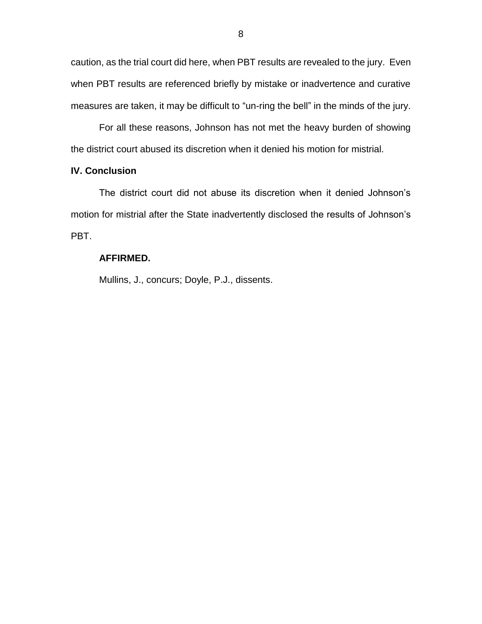caution, as the trial court did here, when PBT results are revealed to the jury. Even when PBT results are referenced briefly by mistake or inadvertence and curative measures are taken, it may be difficult to "un-ring the bell" in the minds of the jury.

For all these reasons, Johnson has not met the heavy burden of showing the district court abused its discretion when it denied his motion for mistrial.

## **IV. Conclusion**

The district court did not abuse its discretion when it denied Johnson's motion for mistrial after the State inadvertently disclosed the results of Johnson's PBT.

# **AFFIRMED.**

Mullins, J., concurs; Doyle, P.J., dissents.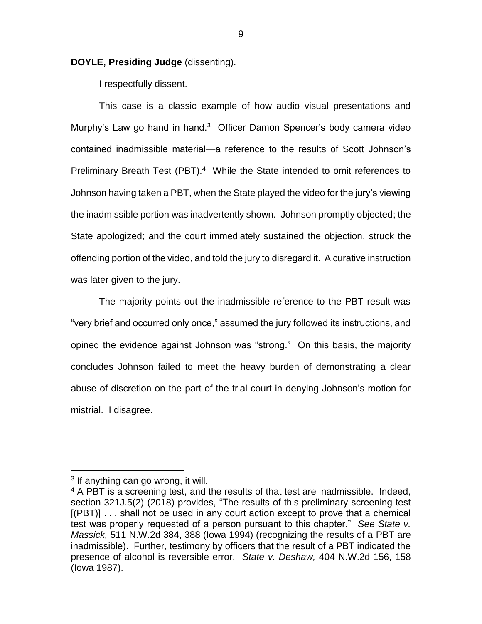### **DOYLE, Presiding Judge** (dissenting).

I respectfully dissent.

This case is a classic example of how audio visual presentations and Murphy's Law go hand in hand.<sup>3</sup> Officer Damon Spencer's body camera video contained inadmissible material—a reference to the results of Scott Johnson's Preliminary Breath Test (PBT).<sup>4</sup> While the State intended to omit references to Johnson having taken a PBT, when the State played the video for the jury's viewing the inadmissible portion was inadvertently shown. Johnson promptly objected; the State apologized; and the court immediately sustained the objection, struck the offending portion of the video, and told the jury to disregard it. A curative instruction was later given to the jury.

The majority points out the inadmissible reference to the PBT result was "very brief and occurred only once," assumed the jury followed its instructions, and opined the evidence against Johnson was "strong." On this basis, the majority concludes Johnson failed to meet the heavy burden of demonstrating a clear abuse of discretion on the part of the trial court in denying Johnson's motion for mistrial. I disagree.

 $\overline{a}$ 

9

<sup>&</sup>lt;sup>3</sup> If anything can go wrong, it will.

 $4$  A PBT is a screening test, and the results of that test are inadmissible. Indeed, section 321J.5(2) (2018) provides, "The results of this preliminary screening test [(PBT)] . . . shall not be used in any court action except to prove that a chemical test was properly requested of a person pursuant to this chapter." *See State v. Massick,* 511 N.W.2d 384, 388 (Iowa 1994) (recognizing the results of a PBT are inadmissible). Further, testimony by officers that the result of a PBT indicated the presence of alcohol is reversible error. *State v. Deshaw,* 404 N.W.2d 156, 158 (Iowa 1987).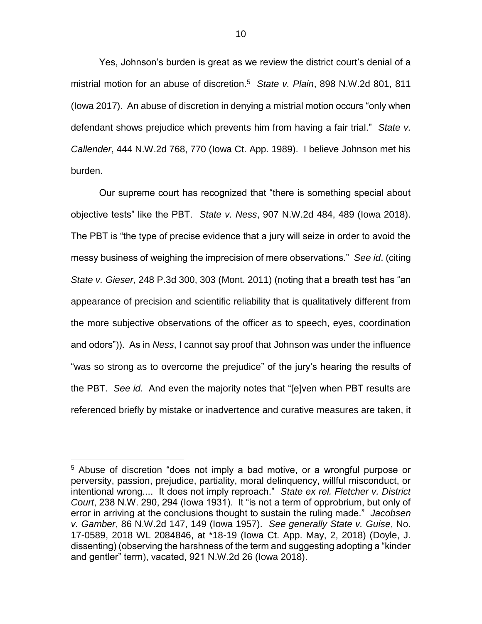Yes, Johnson's burden is great as we review the district court's denial of a mistrial motion for an abuse of discretion.<sup>5</sup> *State v. Plain*, 898 N.W.2d 801, 811 (Iowa 2017). An abuse of discretion in denying a mistrial motion occurs "only when defendant shows prejudice which prevents him from having a fair trial." *State v. Callender*, 444 N.W.2d 768, 770 (Iowa Ct. App. 1989). I believe Johnson met his burden.

Our supreme court has recognized that "there is something special about objective tests" like the PBT. *State v. Ness*, 907 N.W.2d 484, 489 (Iowa 2018). The PBT is "the type of precise evidence that a jury will seize in order to avoid the messy business of weighing the imprecision of mere observations." *See id*. (citing *State v. Gieser*, 248 P.3d 300, 303 (Mont. 2011) (noting that a breath test has "an appearance of precision and scientific reliability that is qualitatively different from the more subjective observations of the officer as to speech, eyes, coordination and odors")). As in *Ness*, I cannot say proof that Johnson was under the influence "was so strong as to overcome the prejudice" of the jury's hearing the results of the PBT. *See id.* And even the majority notes that "[e]ven when PBT results are referenced briefly by mistake or inadvertence and curative measures are taken, it

 $\overline{a}$ 

<sup>5</sup> Abuse of discretion "does not imply a bad motive, or a wrongful purpose or perversity, passion, prejudice, partiality, moral delinquency, willful misconduct, or intentional wrong.... It does not imply reproach." *State ex rel. Fletcher v. District Court*, 238 N.W. 290, 294 (Iowa 1931). It "is not a term of opprobrium, but only of error in arriving at the conclusions thought to sustain the ruling made." *Jacobsen v. Gamber*, 86 N.W.2d 147, 149 (Iowa 1957). *See generally State v. Guise*, No. 17-0589, 2018 WL 2084846, at \*18-19 (Iowa Ct. App. May, 2, 2018) (Doyle, J. dissenting) (observing the harshness of the term and suggesting adopting a "kinder and gentler" term), vacated, 921 N.W.2d 26 (Iowa 2018).